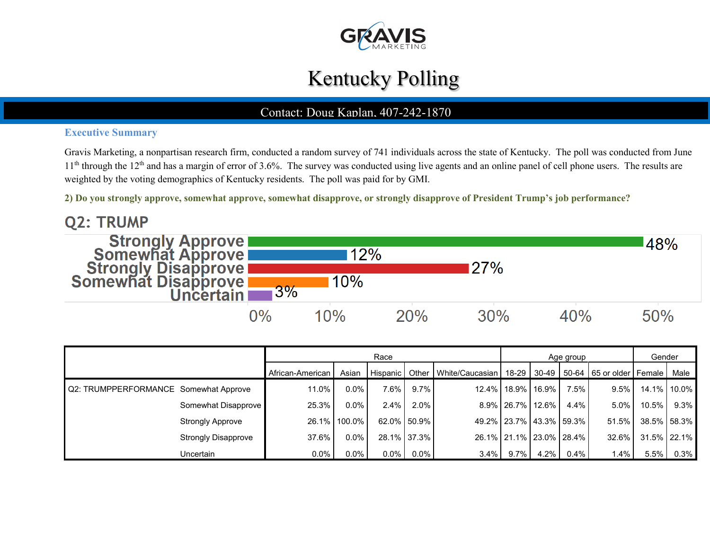

# Kentucky Polling

### Contact: Doug Kaplan, 407-242-1870

### **Executive Summary**

Gravis Marketing, a nonpartisan research firm, conducted a random survey of 741 individuals across the state of Kentucky. The poll was conducted from June  $11<sup>th</sup>$  through the  $12<sup>th</sup>$  and has a margin of error of 3.6%. The survey was conducted using live agents and an online panel of cell phone users. The results are weighted by the voting demographics of Kentucky residents. The poll was paid for by GMI.

**2) Do you strongly approve, somewhat approve, somewhat disapprove, or strongly disapprove of President Trump's job performance?**

**Q2: TRUMP Strongly Approve<br>Somewhat Approve<br>Strongly Disapprove<br>Somewhat Disapprove** 48% 12% 27% 10% 3% Uncertain  $0\%$ 10% 20% 30% 40% 50%

|                                       |                            |                  |                                                                                          | Race    |             |         |                  | Age group               |      | Gender  |             |         |
|---------------------------------------|----------------------------|------------------|------------------------------------------------------------------------------------------|---------|-------------|---------|------------------|-------------------------|------|---------|-------------|---------|
|                                       |                            | African-American | Hispanic   Other   White/Caucasian   18-29   30-49   50-64   65 or older   Female   Male |         |             |         |                  |                         |      |         |             |         |
| Q2: TRUMPPERFORMANCE Somewhat Approve |                            | 11.0%            | $0.0\%$                                                                                  | 7.6%    | 9.7%        |         |                  | 12.4% 18.9% 16.9%       | 7.5% | $9.5\%$ | 14.1% 10.0% |         |
|                                       | Somewhat Disapprove        | 25.3%            | $0.0\%$                                                                                  | 2.4%    | 2.0%        |         | 8.9% 26.7% 12.6% |                         | 4.4% | $5.0\%$ | $10.5\%$    | $9.3\%$ |
|                                       | <b>Strongly Approve</b>    |                  | 26.1% 100.0%                                                                             |         | 62.0% 50.9% |         |                  | 49.2% 23.7% 43.3% 59.3% |      | 51.5%   | 38.5% 58.3% |         |
|                                       | <b>Strongly Disapprove</b> | 37.6%            | $0.0\%$                                                                                  |         | 28.1% 37.3% |         |                  | 26.1% 21.1% 23.0% 28.4% |      | 32.6%   | 31.5% 22.1% |         |
|                                       | Uncertain                  | $0.0\%$          | $0.0\%$                                                                                  | $0.0\%$ | $0.0\%$     | $3.4\%$ | $9.7\%$          | 4.2%                    | 0.4% | 1.4%    | 5.5%        | 0.3%    |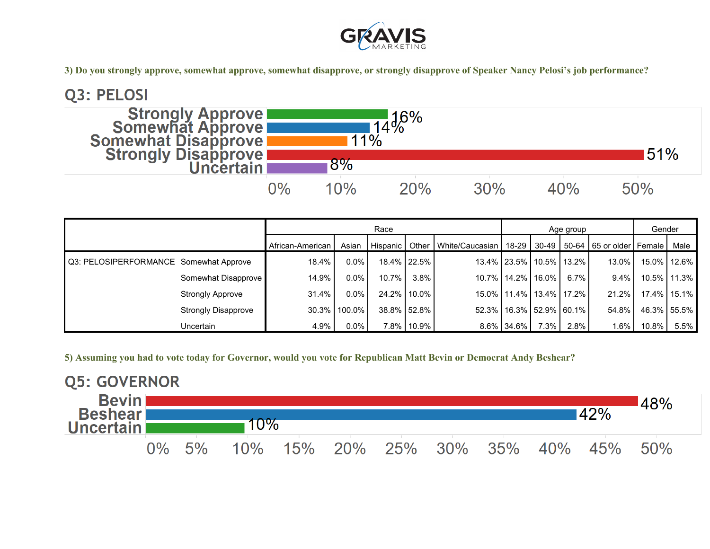

**3) Do you strongly approve, somewhat approve, somewhat disapprove, or strongly disapprove of Speaker Nancy Pelosi's job performance?**



|                                        |                            |                  |              | Race     |             |                                                                        |                               | Age group |         | Gender   |          |             |
|----------------------------------------|----------------------------|------------------|--------------|----------|-------------|------------------------------------------------------------------------|-------------------------------|-----------|---------|----------|----------|-------------|
|                                        |                            | African-American | Asian        | Hispanic |             | Other   White/Caucasian   18-29   30-49   50-64   65 or older   Female |                               |           |         |          |          | Male        |
| Q3: PELOSIPERFORMANCE Somewhat Approve |                            | 18.4%            | $0.0\%$      |          | 18.4% 22.5% |                                                                        | 13.4% 23.5% 10.5% 13.2%       |           |         | $13.0\%$ |          | 15.0% 12.6% |
|                                        | Somewhat Disapprove        | 14.9%            | $0.0\%$      | 10.7%    | $3.8\%$     |                                                                        | 10.7% 14.2% 16.0%             |           | $6.7\%$ | $9.4\%$  |          | 10.5% 11.3% |
|                                        | <b>Strongly Approve</b>    | 31.4%            | $0.0\%$      |          | 24.2% 10.0% |                                                                        | 15.0% 11.4% 13.4% 17.2%       |           |         | $21.2\%$ |          | 17.4% 15.1% |
|                                        | <b>Strongly Disapprove</b> |                  | 30.3% 100.0% |          | 38.8% 52.8% |                                                                        | 52.3%   16.3%   52.9%   60.1% |           |         | 54.8%    |          | 46.3% 55.5% |
|                                        | <b>Uncertain</b>           | 4.9%             | $0.0\%$      |          | 7.8% 10.9%  |                                                                        | 8.6% 34.6%                    | $7.3\%$   | 2.8%    | $1.6\%$  | $10.8\%$ | 5.5%        |

**5) Assuming you had to vote today for Governor, would you vote for Republican Matt Bevin or Democrat Andy Beshear?**

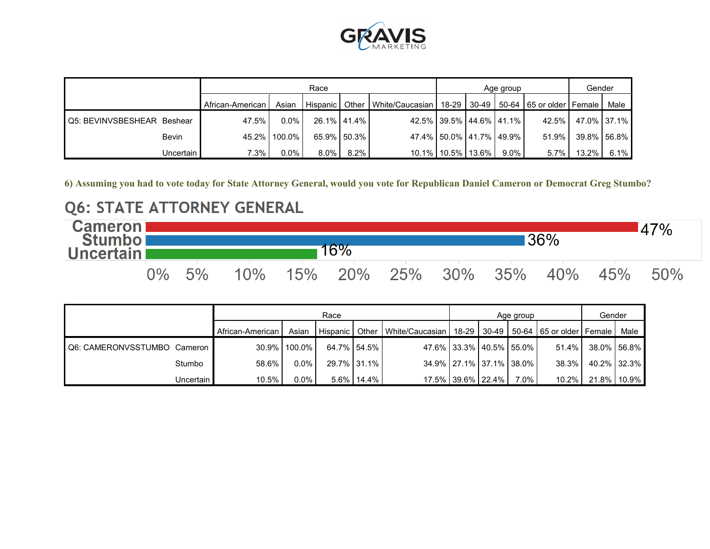

|                            |              |                  |              | Race       |             |                                                                               | Age group               |      | Gender |          |             |
|----------------------------|--------------|------------------|--------------|------------|-------------|-------------------------------------------------------------------------------|-------------------------|------|--------|----------|-------------|
|                            |              | African-American | Asian        | Hispanic I |             | Other   White/Caucasian   18-29   30-49   50-64   65 or older   Female   Male |                         |      |        |          |             |
| Q5: BEVINVSBESHEAR Beshear |              | 47.5%            | $0.0\%$      |            | 26.1% 41.4% |                                                                               | 42.5% 39.5% 44.6% 41.1% |      | 42.5%  |          | 47.0% 37.1% |
|                            | <b>Bevin</b> |                  | 45.2% 100.0% |            | 65.9% 50.3% |                                                                               | 47.4% 50.0% 41.7% 49.9% |      | 51.9%  |          | 39.8% 56.8% |
|                            | Uncertain    | 7.3%             | $0.0\%$      | 8.0%       | $8.2\%$     |                                                                               | 10.1% 10.5% 13.6%       | 9.0% | 5.7%   | $13.2\%$ | 6.1%        |

**6) Assuming you had to vote today for State Attorney General, would you vote for Republican Daniel Cameron or Democrat Greg Stumbo?**

### **Q6: STATE ATTORNEY GENERAL**



|                             |           |                  |              | Race        |               |                                                                                          | Age group               |      | Gender |                   |             |
|-----------------------------|-----------|------------------|--------------|-------------|---------------|------------------------------------------------------------------------------------------|-------------------------|------|--------|-------------------|-------------|
|                             |           | African-American | Asian        |             |               | Hispanic   Other   White/Caucasian   18-29   30-49   50-64   65 or older   Female   Male |                         |      |        |                   |             |
| Q6: CAMERONVSSTUMBO Cameron |           |                  | 30.9% 100.0% | 64.7% 54.5% |               |                                                                                          | 47.6% 33.3% 40.5% 55.0% |      | 51.4%  |                   | 38.0% 56.8% |
|                             | Stumbo    | 58.6%            | $0.0\%$      |             | 29.7% 31.1%   |                                                                                          | 34.9% 27.1% 37.1% 38.0% |      | 38.3%  | 40.2% 32.3%       |             |
|                             | Uncertain | 10.5%            | $0.0\%$      |             | $5.6\%$ 14.4% |                                                                                          | 17.5% 39.6% 22.4%       | 7.0% |        | 10.2% 21.8% 10.9% |             |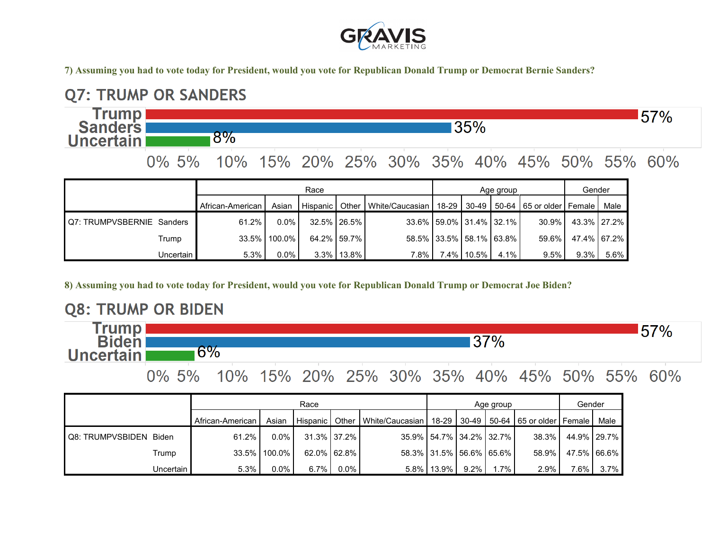

**7) Assuming you had to vote today for President, would you vote for Republican Donald Trump or Democrat Bernie Sanders?**



|                                   |             |                    |              | Race         |             |                                 |                         | Age group       |      | Gender                                      |         |             |
|-----------------------------------|-------------|--------------------|--------------|--------------|-------------|---------------------------------|-------------------------|-----------------|------|---------------------------------------------|---------|-------------|
|                                   |             | African-American I | Asian        | l Hispanic I |             | Other   White/Caucasian   18-29 |                         |                 |      | 30-49   50-64   65 or older   Female   Male |         |             |
| <b>IQ7: TRUMPVSBERNIE Sanders</b> |             | 61.2%              | $0.0\%$      |              | 32.5% 26.5% |                                 | 33.6% 59.0% 31.4% 32.1% |                 |      | 30.9%                                       |         | 43.3% 27.2% |
|                                   | Trump       |                    | 33.5% 100.0% |              | 64.2% 59.7% |                                 | 58.5% 33.5% 58.1% 63.8% |                 |      | 59.6%                                       |         | 47.4% 67.2% |
|                                   | Uncertain I | 5.3%               | $0.0\%$      |              | 3.3% 13.8%  | 7.8%                            |                         | $1.4\%$   10.5% | 4.1% | $9.5\%$                                     | $9.3\%$ | $5.6\%$     |

**8) Assuming you had to vote today for President, would you vote for Republican Donald Trump or Democrat Joe Biden?**

### **Q8: TRUMP OR BIDEN**

Trump | 57% 37% **Biden**  $6%$ **Uncertain** 

0% 5% 10% 15% 20% 25% 30% 35% 40% 45% 50% 55% 60%

|                        |           |                  |              | Race        |             |                                            |                               | Age group |         | Gender                   |         |             |
|------------------------|-----------|------------------|--------------|-------------|-------------|--------------------------------------------|-------------------------------|-----------|---------|--------------------------|---------|-------------|
|                        |           | African-American | Asian        |             |             | Hispanic   Other   White/Caucasian   18-29 |                               | $30-49$   |         | 50-64 65 or older Female |         | Male        |
| Q8: TRUMPVSBIDEN Biden |           | $61.2\%$         | $0.0\%$      | 31.3% 37.2% |             |                                            | 35.9%   54.7%   34.2%   32.7% |           |         | 38.3%                    |         | 44.9% 29.7% |
|                        | Trump     |                  | 33.5% 100.0% |             | 62.0% 62.8% |                                            | 58.3% 31.5% 56.6% 65.6%       |           |         | 58.9%                    |         | 47.5% 66.6% |
|                        | Uncertain | 5.3%             | $0.0\%$      | 6.7%        | $0.0\%$     |                                            | 5.8% 13.9%                    | $9.2\%$ I | $1.7\%$ | 2.9%                     | $7.6\%$ | $3.7\%$     |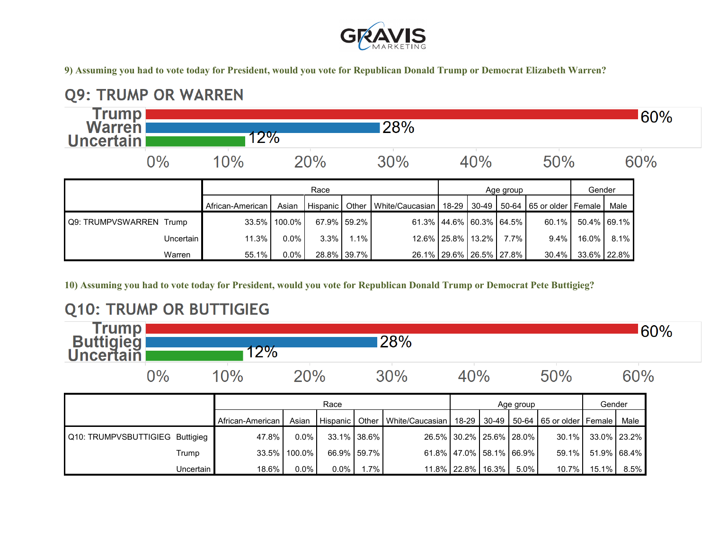

**9) Assuming you had to vote today for President, would you vote for Republican Donald Trump or Democrat Elizabeth Warren?**

#### **Q9: TRUMP OR WARREN Trump**<br>**Warren** 60% 28%  $12\%$ **Uncertain** 20%  $0\%$ 10% 40% 50% 60%  $30%$ Race Race Race Race Reserves and Age group Race Render African-American | Asian | Hispanic | Other | White/Caucasian | 18-29 | 30-49 | 50-64 | 65 or older Female | Male Q9: TRUMPVSWARREN Trump 33.5% 100.0% 67.9% 59.2% 61.3% 44.6% 60.3% 64.5% 60.1% 50.4% 69.1% Uncertain 11.3% 0.0% 3.3% 1.1% 12.6% 25.8% 13.2% 7.7% 9.4% 16.0% 8.1%

Warren **1** 55.1% 0.0% 28.8% 39.7% 26.1% 26.1% 29.6% 26.5% 27.8% 30.4% 33.6% 22.8%

**10) Assuming you had to vote today for President, would you vote for Republican Donald Trump or Democrat Pete Buttigieg?**

## **Q10: TRUMP OR BUTTIGIEG**

| frump'<br><b>Buttigleg</b><br>Uncertain |       | $72\%$ |     | 28% |     |     | $^660\%$ |
|-----------------------------------------|-------|--------|-----|-----|-----|-----|----------|
|                                         | $2\%$ |        | `0% | 30% | 40% | 50% | 60%      |

|                                 |           |                    | Race                                           |  |             |                                    |                         |  | Age group |                                      |       |             |  |
|---------------------------------|-----------|--------------------|------------------------------------------------|--|-------------|------------------------------------|-------------------------|--|-----------|--------------------------------------|-------|-------------|--|
|                                 |           | African-American I | Asian                                          |  |             | Hispanic   Other   White/Caucasian |                         |  |           | 18-29 30-49 50-64 65 or older Female |       | Male        |  |
| Q10: TRUMPVSBUTTIGIEG Buttigieg |           | 47.8%              | $0.0\%$                                        |  | 33.1% 38.6% |                                    | 26.5% 30.2% 25.6% 28.0% |  |           | 30.1%                                |       | 33.0% 23.2% |  |
|                                 | Trump     |                    | 33.5% 100.0%                                   |  | 66.9% 59.7% |                                    | 61.8% 47.0% 58.1% 66.9% |  |           | $59.1\%$                             |       | 51.9% 68.4% |  |
|                                 | Uncertain | 18.6%              | .7%<br>$0.0\%$<br>$0.0\%$<br>11.8% 22.8% 16.3% |  |             |                                    |                         |  | $5.0\%$   | $10.7\%$                             | 15.1% | 8.5%        |  |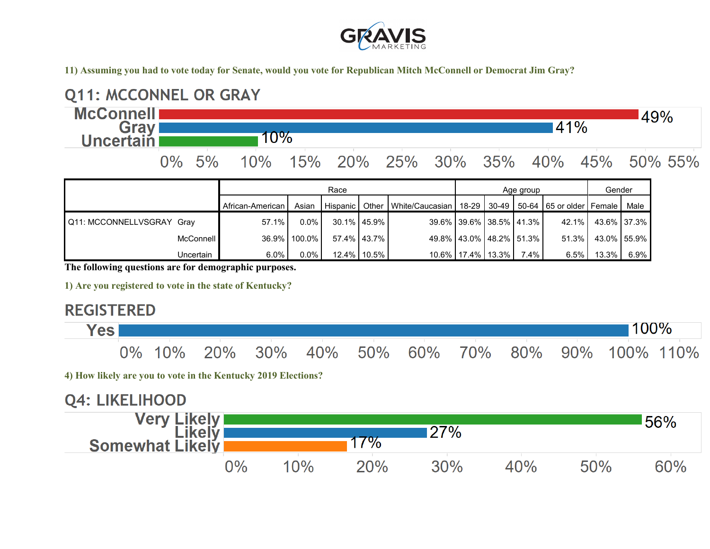

**11) Assuming you had to vote today for Senate, would you vote for Republican Mitch McConnell or Democrat Jim Gray?**



|                           |           | I Allican-Allielican | Asian        |               |             | THISDAING FOURLY MINE/GAUGASIAN F 10-29 F 30-49 F 30-04 F 63 OF ORCH FEMALE F MALE |                         |         |      |                   |      |
|---------------------------|-----------|----------------------|--------------|---------------|-------------|------------------------------------------------------------------------------------|-------------------------|---------|------|-------------------|------|
| Q11: MCCONNELLVSGRAY Gray |           | 57.1%                | $0.0\%$      | 30.1% 45.9%   |             |                                                                                    | 39.6% 39.6% 38.5% 41.3% |         |      | 42.1% 43.6% 37.3% |      |
|                           | McConnell |                      | 36.9% 100.0% | 57.4%   43.7% |             |                                                                                    | 49.8% 43.0% 48.2% 51.3% |         |      | 51.3% 43.0% 55.9% |      |
|                           | Uncertain | $6.0\%$              | $0.0\%$      |               | 12.4% 10.5% |                                                                                    | 10.6% 17.4% 13.3%       | $7.4\%$ | 6.5% | $13.3\%$          | 6.9% |

**The following questions are for demographic purposes.**

**1) Are you registered to vote in the state of Kentucky?**

### **REGISTERED**

| <b>Yes</b> l |  |  |  |  | 100%                                             |  |
|--------------|--|--|--|--|--------------------------------------------------|--|
|              |  |  |  |  | 0% 10% 20% 30% 40% 50% 60% 70% 80% 90% 100% 110% |  |

**4) How likely are you to vote in the Kentucky 2019 Elections?**

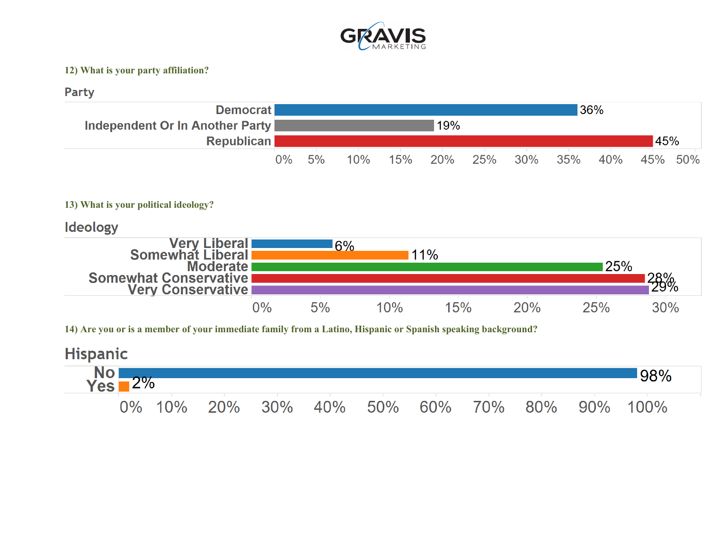

#### **12) What is your party affiliation?**

### Party



### **13) What is your political ideology?**

### **Ideology**



**14) Are you or is a member of your immediate family from a Latino, Hispanic or Spanish speaking background?**

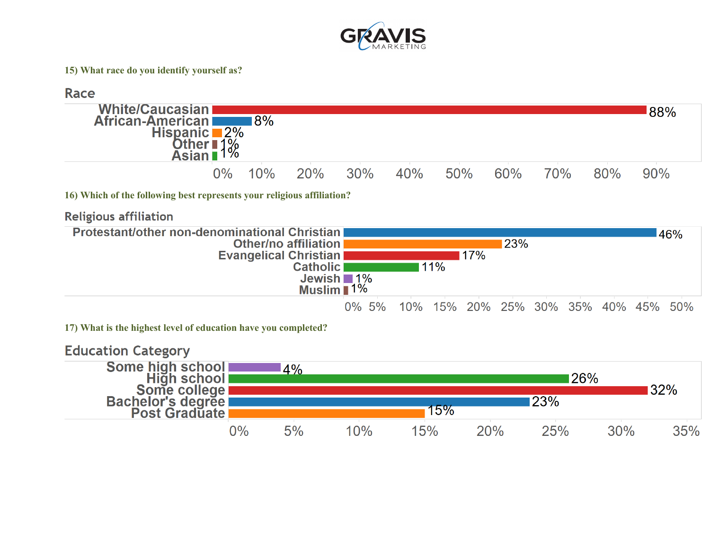

#### **15) What race do you identify yourself as?**